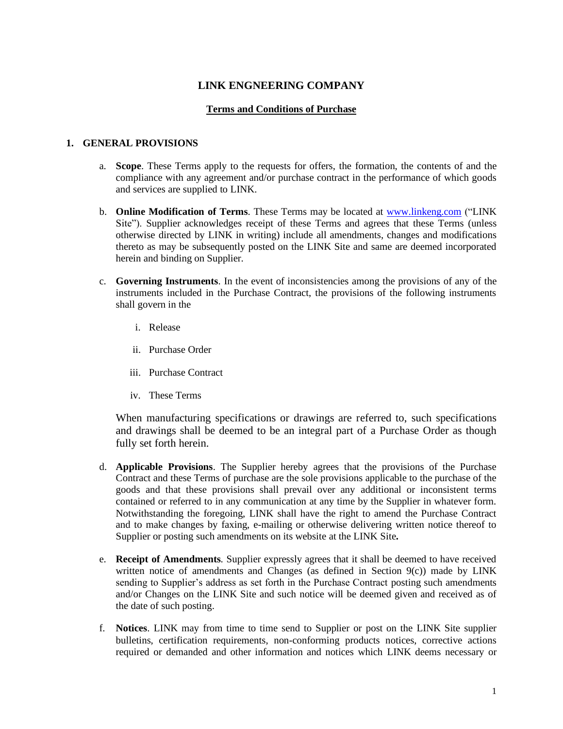# **LINK ENGNEERING COMPANY**

### **Terms and Conditions of Purchase**

#### **1. GENERAL PROVISIONS**

- a. **Scope**. These Terms apply to the requests for offers, the formation, the contents of and the compliance with any agreement and/or purchase contract in the performance of which goods and services are supplied to LINK.
- b. **Online Modification of Terms**. These Terms may be located at [www.linkeng.com](http://www.linkeng.com/) ("LINK Site"). Supplier acknowledges receipt of these Terms and agrees that these Terms (unless otherwise directed by LINK in writing) include all amendments, changes and modifications thereto as may be subsequently posted on the LINK Site and same are deemed incorporated herein and binding on Supplier.
- c. **Governing Instruments**. In the event of inconsistencies among the provisions of any of the instruments included in the Purchase Contract, the provisions of the following instruments shall govern in the
	- i. Release
	- ii. Purchase Order
	- iii. Purchase Contract
	- iv. These Terms

When manufacturing specifications or drawings are referred to, such specifications and drawings shall be deemed to be an integral part of a Purchase Order as though fully set forth herein.

- d. **Applicable Provisions**. The Supplier hereby agrees that the provisions of the Purchase Contract and these Terms of purchase are the sole provisions applicable to the purchase of the goods and that these provisions shall prevail over any additional or inconsistent terms contained or referred to in any communication at any time by the Supplier in whatever form. Notwithstanding the foregoing, LINK shall have the right to amend the Purchase Contract and to make changes by faxing, e-mailing or otherwise delivering written notice thereof to Supplier or posting such amendments on its website at the LINK Site**.**
- e. **Receipt of Amendments**. Supplier expressly agrees that it shall be deemed to have received written notice of amendments and Changes (as defined in Section 9(c)) made by LINK sending to Supplier's address as set forth in the Purchase Contract posting such amendments and/or Changes on the LINK Site and such notice will be deemed given and received as of the date of such posting.
- f. **Notices**. LINK may from time to time send to Supplier or post on the LINK Site supplier bulletins, certification requirements, non-conforming products notices, corrective actions required or demanded and other information and notices which LINK deems necessary or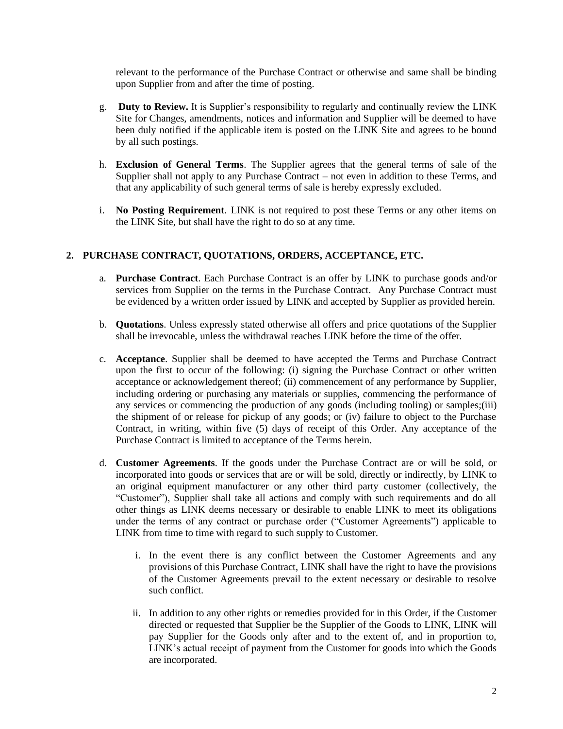relevant to the performance of the Purchase Contract or otherwise and same shall be binding upon Supplier from and after the time of posting.

- g. **Duty to Review.** It is Supplier's responsibility to regularly and continually review the LINK Site for Changes, amendments, notices and information and Supplier will be deemed to have been duly notified if the applicable item is posted on the LINK Site and agrees to be bound by all such postings.
- h. **Exclusion of General Terms**. The Supplier agrees that the general terms of sale of the Supplier shall not apply to any Purchase Contract – not even in addition to these Terms, and that any applicability of such general terms of sale is hereby expressly excluded.
- i. **No Posting Requirement**. LINK is not required to post these Terms or any other items on the LINK Site, but shall have the right to do so at any time.

# **2. PURCHASE CONTRACT, QUOTATIONS, ORDERS, ACCEPTANCE, ETC.**

- a. **Purchase Contract**. Each Purchase Contract is an offer by LINK to purchase goods and/or services from Supplier on the terms in the Purchase Contract. Any Purchase Contract must be evidenced by a written order issued by LINK and accepted by Supplier as provided herein.
- b. **Quotations**. Unless expressly stated otherwise all offers and price quotations of the Supplier shall be irrevocable, unless the withdrawal reaches LINK before the time of the offer.
- c. **Acceptance**. Supplier shall be deemed to have accepted the Terms and Purchase Contract upon the first to occur of the following: (i) signing the Purchase Contract or other written acceptance or acknowledgement thereof; (ii) commencement of any performance by Supplier, including ordering or purchasing any materials or supplies, commencing the performance of any services or commencing the production of any goods (including tooling) or samples;(iii) the shipment of or release for pickup of any goods; or (iv) failure to object to the Purchase Contract, in writing, within five (5) days of receipt of this Order. Any acceptance of the Purchase Contract is limited to acceptance of the Terms herein.
- d. **Customer Agreements**. If the goods under the Purchase Contract are or will be sold, or incorporated into goods or services that are or will be sold, directly or indirectly, by LINK to an original equipment manufacturer or any other third party customer (collectively, the "Customer"), Supplier shall take all actions and comply with such requirements and do all other things as LINK deems necessary or desirable to enable LINK to meet its obligations under the terms of any contract or purchase order ("Customer Agreements") applicable to LINK from time to time with regard to such supply to Customer.
	- i. In the event there is any conflict between the Customer Agreements and any provisions of this Purchase Contract, LINK shall have the right to have the provisions of the Customer Agreements prevail to the extent necessary or desirable to resolve such conflict.
	- ii. In addition to any other rights or remedies provided for in this Order, if the Customer directed or requested that Supplier be the Supplier of the Goods to LINK, LINK will pay Supplier for the Goods only after and to the extent of, and in proportion to, LINK's actual receipt of payment from the Customer for goods into which the Goods are incorporated.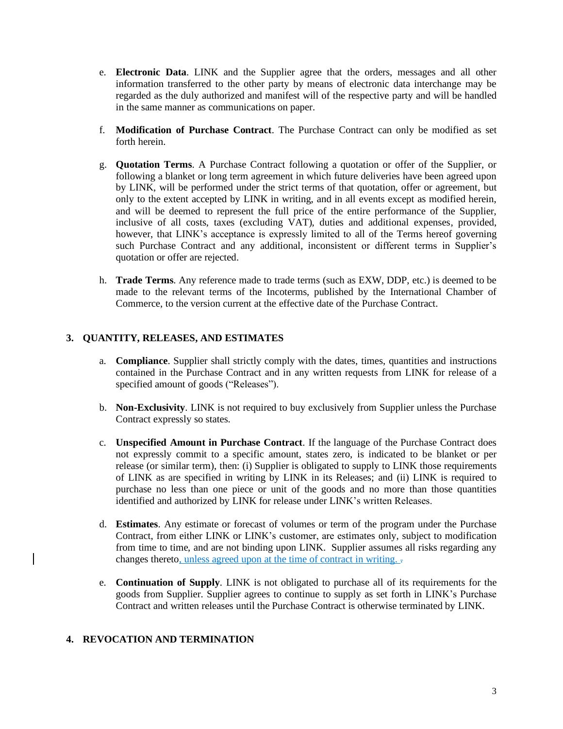- e. **Electronic Data**. LINK and the Supplier agree that the orders, messages and all other information transferred to the other party by means of electronic data interchange may be regarded as the duly authorized and manifest will of the respective party and will be handled in the same manner as communications on paper.
- f. **Modification of Purchase Contract**. The Purchase Contract can only be modified as set forth herein.
- g. **Quotation Terms**. A Purchase Contract following a quotation or offer of the Supplier, or following a blanket or long term agreement in which future deliveries have been agreed upon by LINK, will be performed under the strict terms of that quotation, offer or agreement, but only to the extent accepted by LINK in writing, and in all events except as modified herein, and will be deemed to represent the full price of the entire performance of the Supplier, inclusive of all costs, taxes (excluding VAT), duties and additional expenses, provided, however, that LINK's acceptance is expressly limited to all of the Terms hereof governing such Purchase Contract and any additional, inconsistent or different terms in Supplier's quotation or offer are rejected.
- h. **Trade Terms**. Any reference made to trade terms (such as EXW, DDP, etc.) is deemed to be made to the relevant terms of the Incoterms, published by the International Chamber of Commerce, to the version current at the effective date of the Purchase Contract.

# **3. QUANTITY, RELEASES, AND ESTIMATES**

- a. **Compliance**. Supplier shall strictly comply with the dates, times, quantities and instructions contained in the Purchase Contract and in any written requests from LINK for release of a specified amount of goods ("Releases").
- b. **Non-Exclusivity**. LINK is not required to buy exclusively from Supplier unless the Purchase Contract expressly so states.
- c. **Unspecified Amount in Purchase Contract**. If the language of the Purchase Contract does not expressly commit to a specific amount, states zero, is indicated to be blanket or per release (or similar term), then: (i) Supplier is obligated to supply to LINK those requirements of LINK as are specified in writing by LINK in its Releases; and (ii) LINK is required to purchase no less than one piece or unit of the goods and no more than those quantities identified and authorized by LINK for release under LINK's written Releases.
- d. **Estimates**. Any estimate or forecast of volumes or term of the program under the Purchase Contract, from either LINK or LINK's customer, are estimates only, subject to modification from time to time, and are not binding upon LINK. Supplier assumes all risks regarding any changes thereto, unless agreed upon at the time of contract in writing.  $\overline{\cdot}$
- e. **Continuation of Supply**. LINK is not obligated to purchase all of its requirements for the goods from Supplier. Supplier agrees to continue to supply as set forth in LINK's Purchase Contract and written releases until the Purchase Contract is otherwise terminated by LINK.

### **4. REVOCATION AND TERMINATION**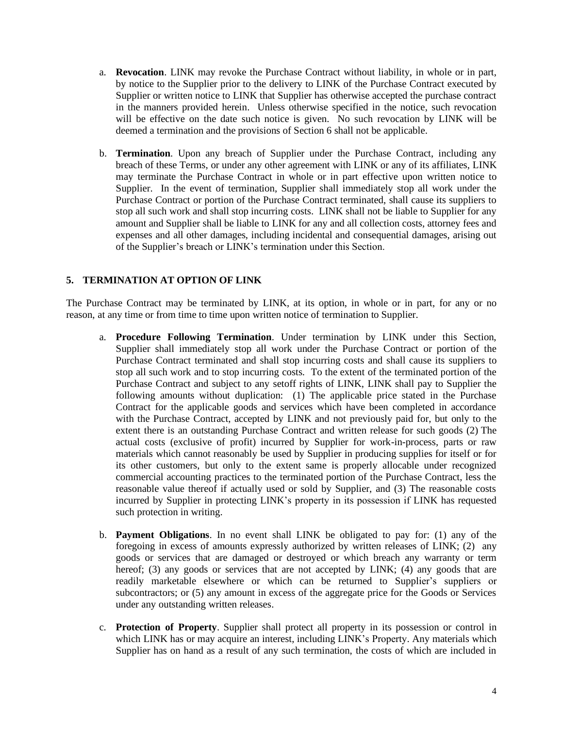- a. **Revocation**. LINK may revoke the Purchase Contract without liability, in whole or in part, by notice to the Supplier prior to the delivery to LINK of the Purchase Contract executed by Supplier or written notice to LINK that Supplier has otherwise accepted the purchase contract in the manners provided herein. Unless otherwise specified in the notice, such revocation will be effective on the date such notice is given. No such revocation by LINK will be deemed a termination and the provisions of Section 6 shall not be applicable.
- b. **Termination**. Upon any breach of Supplier under the Purchase Contract, including any breach of these Terms, or under any other agreement with LINK or any of its affiliates, LINK may terminate the Purchase Contract in whole or in part effective upon written notice to Supplier. In the event of termination, Supplier shall immediately stop all work under the Purchase Contract or portion of the Purchase Contract terminated, shall cause its suppliers to stop all such work and shall stop incurring costs. LINK shall not be liable to Supplier for any amount and Supplier shall be liable to LINK for any and all collection costs, attorney fees and expenses and all other damages, including incidental and consequential damages, arising out of the Supplier's breach or LINK's termination under this Section.

# **5. TERMINATION AT OPTION OF LINK**

The Purchase Contract may be terminated by LINK, at its option, in whole or in part, for any or no reason, at any time or from time to time upon written notice of termination to Supplier.

- a. **Procedure Following Termination**. Under termination by LINK under this Section, Supplier shall immediately stop all work under the Purchase Contract or portion of the Purchase Contract terminated and shall stop incurring costs and shall cause its suppliers to stop all such work and to stop incurring costs. To the extent of the terminated portion of the Purchase Contract and subject to any setoff rights of LINK, LINK shall pay to Supplier the following amounts without duplication: (1) The applicable price stated in the Purchase Contract for the applicable goods and services which have been completed in accordance with the Purchase Contract, accepted by LINK and not previously paid for, but only to the extent there is an outstanding Purchase Contract and written release for such goods (2) The actual costs (exclusive of profit) incurred by Supplier for work-in-process, parts or raw materials which cannot reasonably be used by Supplier in producing supplies for itself or for its other customers, but only to the extent same is properly allocable under recognized commercial accounting practices to the terminated portion of the Purchase Contract, less the reasonable value thereof if actually used or sold by Supplier, and (3) The reasonable costs incurred by Supplier in protecting LINK's property in its possession if LINK has requested such protection in writing.
- b. **Payment Obligations**. In no event shall LINK be obligated to pay for: (1) any of the foregoing in excess of amounts expressly authorized by written releases of LINK; (2) any goods or services that are damaged or destroyed or which breach any warranty or term hereof; (3) any goods or services that are not accepted by LINK; (4) any goods that are readily marketable elsewhere or which can be returned to Supplier's suppliers or subcontractors; or (5) any amount in excess of the aggregate price for the Goods or Services under any outstanding written releases.
- c. **Protection of Property**. Supplier shall protect all property in its possession or control in which LINK has or may acquire an interest, including LINK's Property. Any materials which Supplier has on hand as a result of any such termination, the costs of which are included in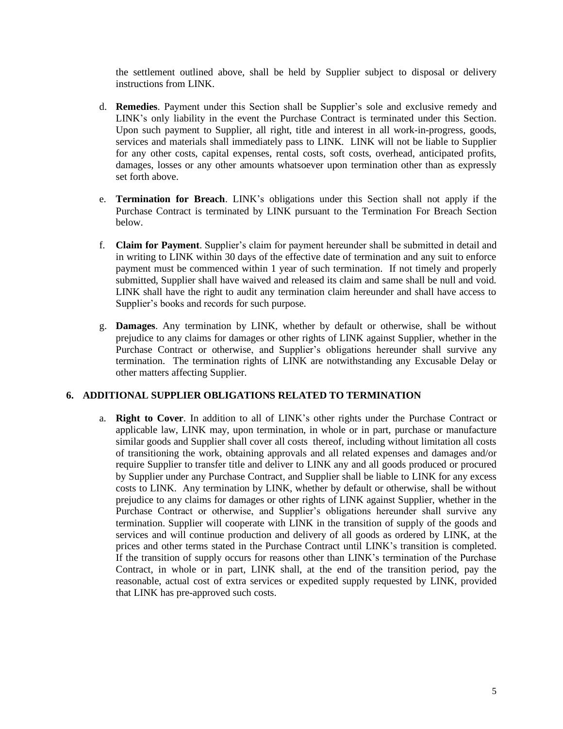the settlement outlined above, shall be held by Supplier subject to disposal or delivery instructions from LINK.

- d. **Remedies**. Payment under this Section shall be Supplier's sole and exclusive remedy and LINK's only liability in the event the Purchase Contract is terminated under this Section. Upon such payment to Supplier, all right, title and interest in all work-in-progress, goods, services and materials shall immediately pass to LINK. LINK will not be liable to Supplier for any other costs, capital expenses, rental costs, soft costs, overhead, anticipated profits, damages, losses or any other amounts whatsoever upon termination other than as expressly set forth above.
- e. **Termination for Breach**. LINK's obligations under this Section shall not apply if the Purchase Contract is terminated by LINK pursuant to the Termination For Breach Section below.
- f. **Claim for Payment**. Supplier's claim for payment hereunder shall be submitted in detail and in writing to LINK within 30 days of the effective date of termination and any suit to enforce payment must be commenced within 1 year of such termination. If not timely and properly submitted, Supplier shall have waived and released its claim and same shall be null and void. LINK shall have the right to audit any termination claim hereunder and shall have access to Supplier's books and records for such purpose.
- g. **Damages**. Any termination by LINK, whether by default or otherwise, shall be without prejudice to any claims for damages or other rights of LINK against Supplier, whether in the Purchase Contract or otherwise, and Supplier's obligations hereunder shall survive any termination. The termination rights of LINK are notwithstanding any Excusable Delay or other matters affecting Supplier.

## **6. ADDITIONAL SUPPLIER OBLIGATIONS RELATED TO TERMINATION**

a. **Right to Cover**. In addition to all of LINK's other rights under the Purchase Contract or applicable law, LINK may, upon termination, in whole or in part, purchase or manufacture similar goods and Supplier shall cover all costs thereof, including without limitation all costs of transitioning the work, obtaining approvals and all related expenses and damages and/or require Supplier to transfer title and deliver to LINK any and all goods produced or procured by Supplier under any Purchase Contract, and Supplier shall be liable to LINK for any excess costs to LINK. Any termination by LINK, whether by default or otherwise, shall be without prejudice to any claims for damages or other rights of LINK against Supplier, whether in the Purchase Contract or otherwise, and Supplier's obligations hereunder shall survive any termination. Supplier will cooperate with LINK in the transition of supply of the goods and services and will continue production and delivery of all goods as ordered by LINK, at the prices and other terms stated in the Purchase Contract until LINK's transition is completed. If the transition of supply occurs for reasons other than LINK's termination of the Purchase Contract, in whole or in part, LINK shall, at the end of the transition period, pay the reasonable, actual cost of extra services or expedited supply requested by LINK, provided that LINK has pre-approved such costs.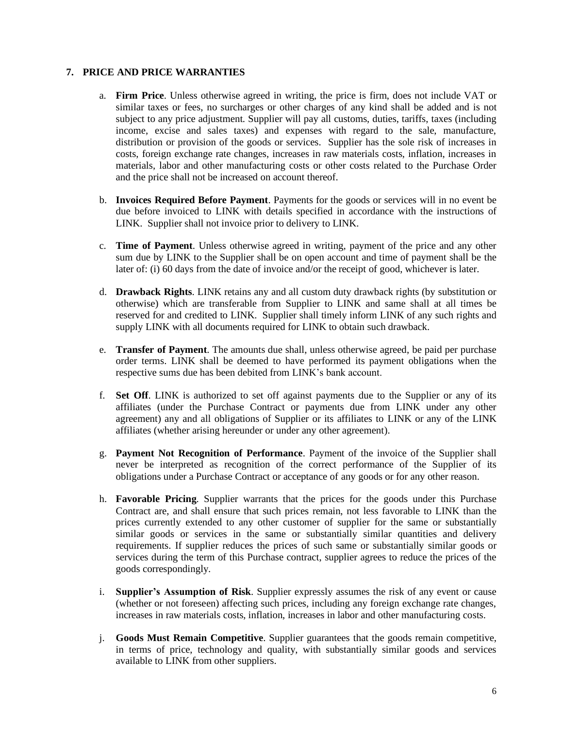## **7. PRICE AND PRICE WARRANTIES**

- a. **Firm Price**. Unless otherwise agreed in writing, the price is firm, does not include VAT or similar taxes or fees, no surcharges or other charges of any kind shall be added and is not subject to any price adjustment. Supplier will pay all customs, duties, tariffs, taxes (including income, excise and sales taxes) and expenses with regard to the sale, manufacture, distribution or provision of the goods or services. Supplier has the sole risk of increases in costs, foreign exchange rate changes, increases in raw materials costs, inflation, increases in materials, labor and other manufacturing costs or other costs related to the Purchase Order and the price shall not be increased on account thereof.
- b. **Invoices Required Before Payment**. Payments for the goods or services will in no event be due before invoiced to LINK with details specified in accordance with the instructions of LINK. Supplier shall not invoice prior to delivery to LINK.
- c. **Time of Payment**. Unless otherwise agreed in writing, payment of the price and any other sum due by LINK to the Supplier shall be on open account and time of payment shall be the later of: (i) 60 days from the date of invoice and/or the receipt of good, whichever is later.
- d. **Drawback Rights**. LINK retains any and all custom duty drawback rights (by substitution or otherwise) which are transferable from Supplier to LINK and same shall at all times be reserved for and credited to LINK. Supplier shall timely inform LINK of any such rights and supply LINK with all documents required for LINK to obtain such drawback.
- e. **Transfer of Payment**. The amounts due shall, unless otherwise agreed, be paid per purchase order terms. LINK shall be deemed to have performed its payment obligations when the respective sums due has been debited from LINK's bank account.
- f. **Set Off**. LINK is authorized to set off against payments due to the Supplier or any of its affiliates (under the Purchase Contract or payments due from LINK under any other agreement) any and all obligations of Supplier or its affiliates to LINK or any of the LINK affiliates (whether arising hereunder or under any other agreement).
- g. **Payment Not Recognition of Performance**. Payment of the invoice of the Supplier shall never be interpreted as recognition of the correct performance of the Supplier of its obligations under a Purchase Contract or acceptance of any goods or for any other reason.
- h. **Favorable Pricing**. Supplier warrants that the prices for the goods under this Purchase Contract are, and shall ensure that such prices remain, not less favorable to LINK than the prices currently extended to any other customer of supplier for the same or substantially similar goods or services in the same or substantially similar quantities and delivery requirements. If supplier reduces the prices of such same or substantially similar goods or services during the term of this Purchase contract, supplier agrees to reduce the prices of the goods correspondingly.
- i. **Supplier's Assumption of Risk**. Supplier expressly assumes the risk of any event or cause (whether or not foreseen) affecting such prices, including any foreign exchange rate changes, increases in raw materials costs, inflation, increases in labor and other manufacturing costs.
- j. **Goods Must Remain Competitive**. Supplier guarantees that the goods remain competitive, in terms of price, technology and quality, with substantially similar goods and services available to LINK from other suppliers.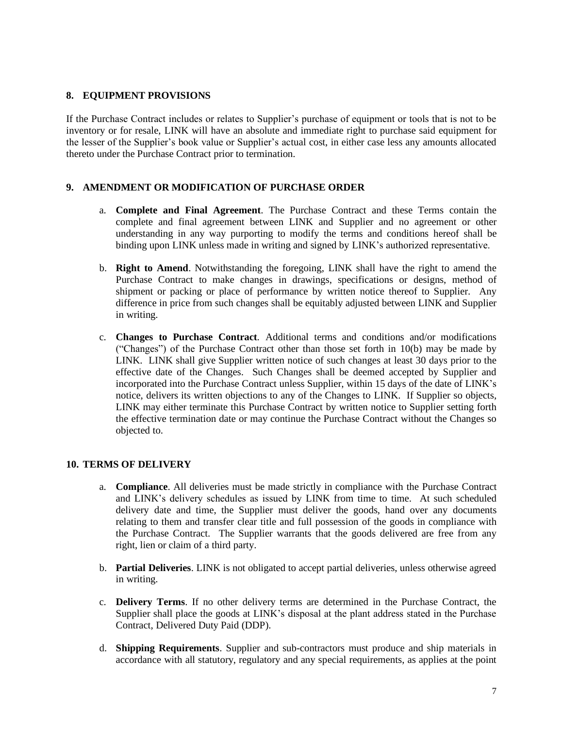### **8. EQUIPMENT PROVISIONS**

If the Purchase Contract includes or relates to Supplier's purchase of equipment or tools that is not to be inventory or for resale, LINK will have an absolute and immediate right to purchase said equipment for the lesser of the Supplier's book value or Supplier's actual cost, in either case less any amounts allocated thereto under the Purchase Contract prior to termination.

## **9. AMENDMENT OR MODIFICATION OF PURCHASE ORDER**

- a. **Complete and Final Agreement**. The Purchase Contract and these Terms contain the complete and final agreement between LINK and Supplier and no agreement or other understanding in any way purporting to modify the terms and conditions hereof shall be binding upon LINK unless made in writing and signed by LINK's authorized representative.
- b. **Right to Amend**. Notwithstanding the foregoing, LINK shall have the right to amend the Purchase Contract to make changes in drawings, specifications or designs, method of shipment or packing or place of performance by written notice thereof to Supplier. Any difference in price from such changes shall be equitably adjusted between LINK and Supplier in writing.
- c. **Changes to Purchase Contract**. Additional terms and conditions and/or modifications ("Changes") of the Purchase Contract other than those set forth in 10(b) may be made by LINK. LINK shall give Supplier written notice of such changes at least 30 days prior to the effective date of the Changes. Such Changes shall be deemed accepted by Supplier and incorporated into the Purchase Contract unless Supplier, within 15 days of the date of LINK's notice, delivers its written objections to any of the Changes to LINK. If Supplier so objects, LINK may either terminate this Purchase Contract by written notice to Supplier setting forth the effective termination date or may continue the Purchase Contract without the Changes so objected to.

# **10. TERMS OF DELIVERY**

- a. **Compliance**. All deliveries must be made strictly in compliance with the Purchase Contract and LINK's delivery schedules as issued by LINK from time to time. At such scheduled delivery date and time, the Supplier must deliver the goods, hand over any documents relating to them and transfer clear title and full possession of the goods in compliance with the Purchase Contract. The Supplier warrants that the goods delivered are free from any right, lien or claim of a third party.
- b. **Partial Deliveries**. LINK is not obligated to accept partial deliveries, unless otherwise agreed in writing.
- c. **Delivery Terms**. If no other delivery terms are determined in the Purchase Contract, the Supplier shall place the goods at LINK's disposal at the plant address stated in the Purchase Contract, Delivered Duty Paid (DDP).
- d. **Shipping Requirements**. Supplier and sub-contractors must produce and ship materials in accordance with all statutory, regulatory and any special requirements, as applies at the point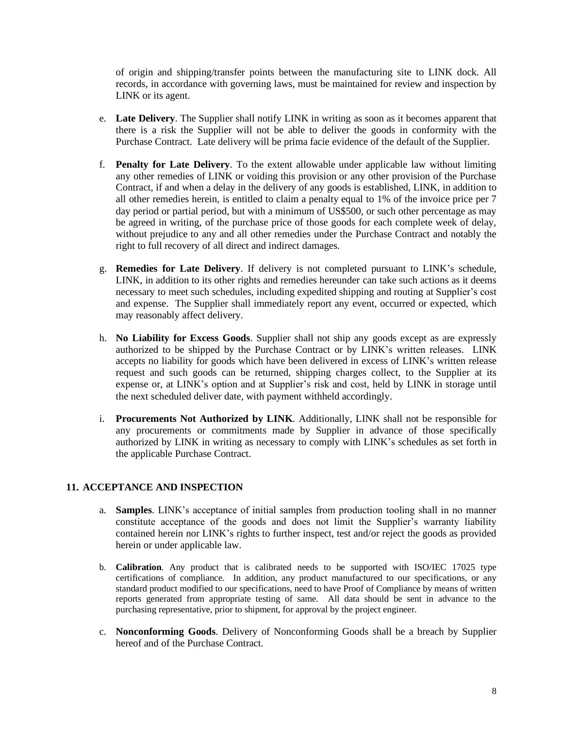of origin and shipping/transfer points between the manufacturing site to LINK dock. All records, in accordance with governing laws, must be maintained for review and inspection by LINK or its agent.

- e. **Late Delivery**. The Supplier shall notify LINK in writing as soon as it becomes apparent that there is a risk the Supplier will not be able to deliver the goods in conformity with the Purchase Contract. Late delivery will be prima facie evidence of the default of the Supplier.
- f. **Penalty for Late Delivery**. To the extent allowable under applicable law without limiting any other remedies of LINK or voiding this provision or any other provision of the Purchase Contract, if and when a delay in the delivery of any goods is established, LINK, in addition to all other remedies herein, is entitled to claim a penalty equal to 1% of the invoice price per 7 day period or partial period, but with a minimum of US\$500, or such other percentage as may be agreed in writing, of the purchase price of those goods for each complete week of delay, without prejudice to any and all other remedies under the Purchase Contract and notably the right to full recovery of all direct and indirect damages.
- g. **Remedies for Late Delivery**. If delivery is not completed pursuant to LINK's schedule, LINK, in addition to its other rights and remedies hereunder can take such actions as it deems necessary to meet such schedules, including expedited shipping and routing at Supplier's cost and expense. The Supplier shall immediately report any event, occurred or expected, which may reasonably affect delivery.
- h. **No Liability for Excess Goods**. Supplier shall not ship any goods except as are expressly authorized to be shipped by the Purchase Contract or by LINK's written releases. LINK accepts no liability for goods which have been delivered in excess of LINK's written release request and such goods can be returned, shipping charges collect, to the Supplier at its expense or, at LINK's option and at Supplier's risk and cost, held by LINK in storage until the next scheduled deliver date, with payment withheld accordingly.
- i. **Procurements Not Authorized by LINK**. Additionally, LINK shall not be responsible for any procurements or commitments made by Supplier in advance of those specifically authorized by LINK in writing as necessary to comply with LINK's schedules as set forth in the applicable Purchase Contract.

### **11. ACCEPTANCE AND INSPECTION**

- a. **Samples**. LINK's acceptance of initial samples from production tooling shall in no manner constitute acceptance of the goods and does not limit the Supplier's warranty liability contained herein nor LINK's rights to further inspect, test and/or reject the goods as provided herein or under applicable law.
- b. **Calibration**. Any product that is calibrated needs to be supported with ISO/IEC 17025 type certifications of compliance. In addition, any product manufactured to our specifications, or any standard product modified to our specifications, need to have Proof of Compliance by means of written reports generated from appropriate testing of same. All data should be sent in advance to the purchasing representative, prior to shipment, for approval by the project engineer.
- c. **Nonconforming Goods**. Delivery of Nonconforming Goods shall be a breach by Supplier hereof and of the Purchase Contract.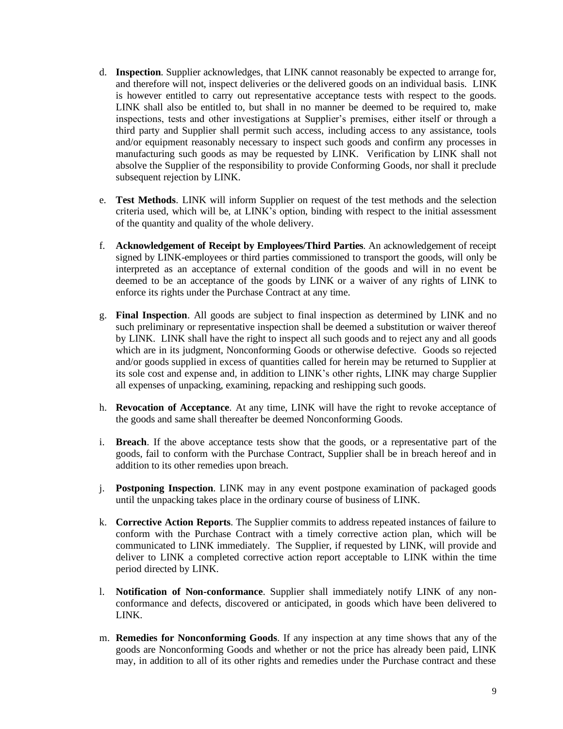- d. **Inspection**. Supplier acknowledges, that LINK cannot reasonably be expected to arrange for, and therefore will not, inspect deliveries or the delivered goods on an individual basis. LINK is however entitled to carry out representative acceptance tests with respect to the goods. LINK shall also be entitled to, but shall in no manner be deemed to be required to, make inspections, tests and other investigations at Supplier's premises, either itself or through a third party and Supplier shall permit such access, including access to any assistance, tools and/or equipment reasonably necessary to inspect such goods and confirm any processes in manufacturing such goods as may be requested by LINK. Verification by LINK shall not absolve the Supplier of the responsibility to provide Conforming Goods, nor shall it preclude subsequent rejection by LINK.
- e. **Test Methods**. LINK will inform Supplier on request of the test methods and the selection criteria used, which will be, at LINK's option, binding with respect to the initial assessment of the quantity and quality of the whole delivery.
- f. **Acknowledgement of Receipt by Employees/Third Parties**. An acknowledgement of receipt signed by LINK-employees or third parties commissioned to transport the goods, will only be interpreted as an acceptance of external condition of the goods and will in no event be deemed to be an acceptance of the goods by LINK or a waiver of any rights of LINK to enforce its rights under the Purchase Contract at any time.
- g. **Final Inspection**. All goods are subject to final inspection as determined by LINK and no such preliminary or representative inspection shall be deemed a substitution or waiver thereof by LINK. LINK shall have the right to inspect all such goods and to reject any and all goods which are in its judgment, Nonconforming Goods or otherwise defective. Goods so rejected and/or goods supplied in excess of quantities called for herein may be returned to Supplier at its sole cost and expense and, in addition to LINK's other rights, LINK may charge Supplier all expenses of unpacking, examining, repacking and reshipping such goods.
- h. **Revocation of Acceptance**. At any time, LINK will have the right to revoke acceptance of the goods and same shall thereafter be deemed Nonconforming Goods.
- i. **Breach**. If the above acceptance tests show that the goods, or a representative part of the goods, fail to conform with the Purchase Contract, Supplier shall be in breach hereof and in addition to its other remedies upon breach.
- j. **Postponing Inspection**. LINK may in any event postpone examination of packaged goods until the unpacking takes place in the ordinary course of business of LINK.
- k. **Corrective Action Reports**. The Supplier commits to address repeated instances of failure to conform with the Purchase Contract with a timely corrective action plan, which will be communicated to LINK immediately. The Supplier, if requested by LINK, will provide and deliver to LINK a completed corrective action report acceptable to LINK within the time period directed by LINK.
- l. **Notification of Non-conformance**. Supplier shall immediately notify LINK of any nonconformance and defects, discovered or anticipated, in goods which have been delivered to LINK.
- m. **Remedies for Nonconforming Goods**. If any inspection at any time shows that any of the goods are Nonconforming Goods and whether or not the price has already been paid, LINK may, in addition to all of its other rights and remedies under the Purchase contract and these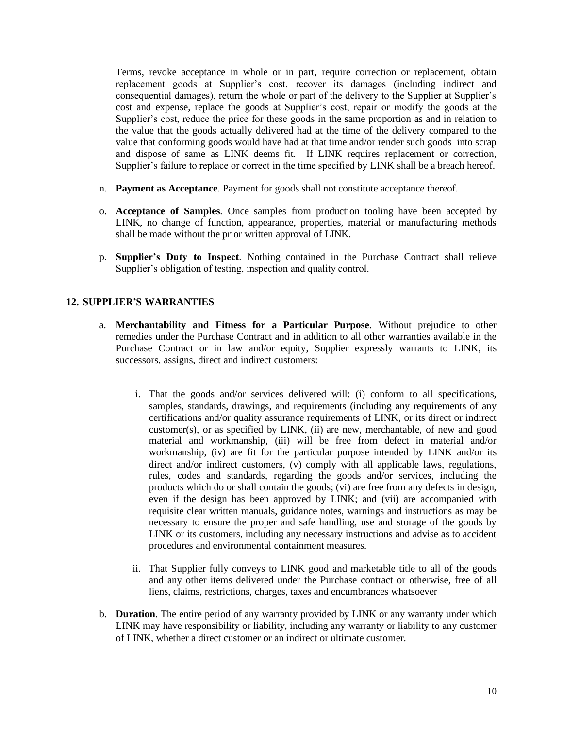Terms, revoke acceptance in whole or in part, require correction or replacement, obtain replacement goods at Supplier's cost, recover its damages (including indirect and consequential damages), return the whole or part of the delivery to the Supplier at Supplier's cost and expense, replace the goods at Supplier's cost, repair or modify the goods at the Supplier's cost, reduce the price for these goods in the same proportion as and in relation to the value that the goods actually delivered had at the time of the delivery compared to the value that conforming goods would have had at that time and/or render such goods into scrap and dispose of same as LINK deems fit. If LINK requires replacement or correction, Supplier's failure to replace or correct in the time specified by LINK shall be a breach hereof.

- n. **Payment as Acceptance**. Payment for goods shall not constitute acceptance thereof.
- o. **Acceptance of Samples**. Once samples from production tooling have been accepted by LINK, no change of function, appearance, properties, material or manufacturing methods shall be made without the prior written approval of LINK.
- p. **Supplier's Duty to Inspect**. Nothing contained in the Purchase Contract shall relieve Supplier's obligation of testing, inspection and quality control.

### **12. SUPPLIER'S WARRANTIES**

- a. **Merchantability and Fitness for a Particular Purpose**. Without prejudice to other remedies under the Purchase Contract and in addition to all other warranties available in the Purchase Contract or in law and/or equity, Supplier expressly warrants to LINK, its successors, assigns, direct and indirect customers:
	- i. That the goods and/or services delivered will: (i) conform to all specifications, samples, standards, drawings, and requirements (including any requirements of any certifications and/or quality assurance requirements of LINK, or its direct or indirect customer(s), or as specified by LINK, (ii) are new, merchantable, of new and good material and workmanship, (iii) will be free from defect in material and/or workmanship, (iv) are fit for the particular purpose intended by LINK and/or its direct and/or indirect customers, (v) comply with all applicable laws, regulations, rules, codes and standards, regarding the goods and/or services, including the products which do or shall contain the goods; (vi) are free from any defects in design, even if the design has been approved by LINK; and (vii) are accompanied with requisite clear written manuals, guidance notes, warnings and instructions as may be necessary to ensure the proper and safe handling, use and storage of the goods by LINK or its customers, including any necessary instructions and advise as to accident procedures and environmental containment measures.
	- ii. That Supplier fully conveys to LINK good and marketable title to all of the goods and any other items delivered under the Purchase contract or otherwise, free of all liens, claims, restrictions, charges, taxes and encumbrances whatsoever
- b. **Duration**. The entire period of any warranty provided by LINK or any warranty under which LINK may have responsibility or liability, including any warranty or liability to any customer of LINK, whether a direct customer or an indirect or ultimate customer.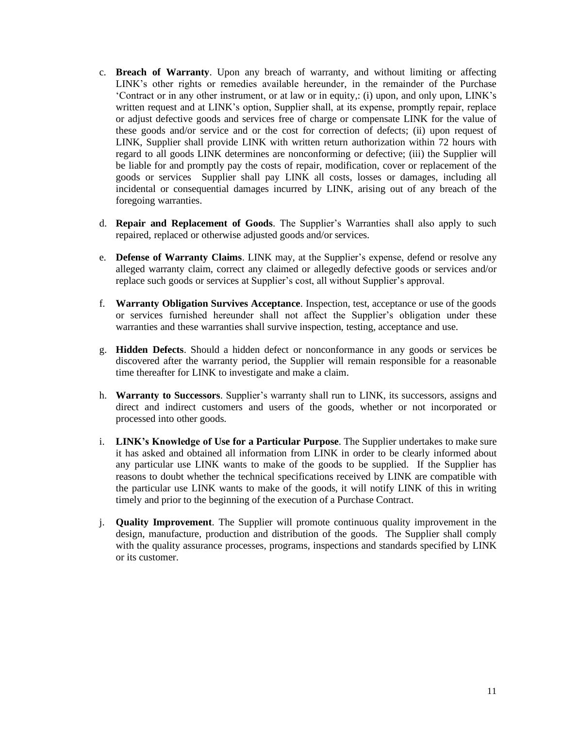- c. **Breach of Warranty**. Upon any breach of warranty, and without limiting or affecting LINK's other rights or remedies available hereunder, in the remainder of the Purchase 'Contract or in any other instrument, or at law or in equity,: (i) upon, and only upon, LINK's written request and at LINK's option, Supplier shall, at its expense, promptly repair, replace or adjust defective goods and services free of charge or compensate LINK for the value of these goods and/or service and or the cost for correction of defects; (ii) upon request of LINK, Supplier shall provide LINK with written return authorization within 72 hours with regard to all goods LINK determines are nonconforming or defective; (iii) the Supplier will be liable for and promptly pay the costs of repair, modification, cover or replacement of the goods or services Supplier shall pay LINK all costs, losses or damages, including all incidental or consequential damages incurred by LINK, arising out of any breach of the foregoing warranties.
- d. **Repair and Replacement of Goods**. The Supplier's Warranties shall also apply to such repaired, replaced or otherwise adjusted goods and/or services.
- e. **Defense of Warranty Claims**. LINK may, at the Supplier's expense, defend or resolve any alleged warranty claim, correct any claimed or allegedly defective goods or services and/or replace such goods or services at Supplier's cost, all without Supplier's approval.
- f. **Warranty Obligation Survives Acceptance**. Inspection, test, acceptance or use of the goods or services furnished hereunder shall not affect the Supplier's obligation under these warranties and these warranties shall survive inspection, testing, acceptance and use.
- g. **Hidden Defects**. Should a hidden defect or nonconformance in any goods or services be discovered after the warranty period, the Supplier will remain responsible for a reasonable time thereafter for LINK to investigate and make a claim.
- h. **Warranty to Successors**. Supplier's warranty shall run to LINK, its successors, assigns and direct and indirect customers and users of the goods, whether or not incorporated or processed into other goods.
- i. **LINK's Knowledge of Use for a Particular Purpose**. The Supplier undertakes to make sure it has asked and obtained all information from LINK in order to be clearly informed about any particular use LINK wants to make of the goods to be supplied. If the Supplier has reasons to doubt whether the technical specifications received by LINK are compatible with the particular use LINK wants to make of the goods, it will notify LINK of this in writing timely and prior to the beginning of the execution of a Purchase Contract.
- j. **Quality Improvement**. The Supplier will promote continuous quality improvement in the design, manufacture, production and distribution of the goods. The Supplier shall comply with the quality assurance processes, programs, inspections and standards specified by LINK or its customer.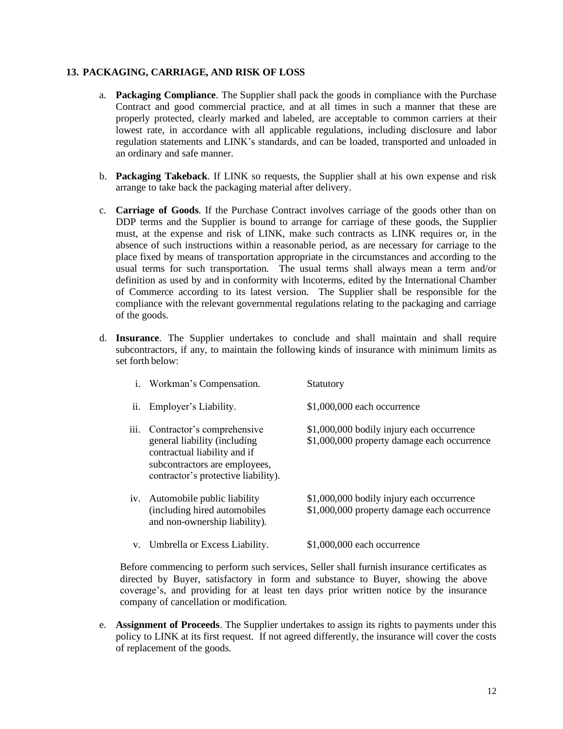### **13. PACKAGING, CARRIAGE, AND RISK OF LOSS**

- a. **Packaging Compliance**. The Supplier shall pack the goods in compliance with the Purchase Contract and good commercial practice, and at all times in such a manner that these are properly protected, clearly marked and labeled, are acceptable to common carriers at their lowest rate, in accordance with all applicable regulations, including disclosure and labor regulation statements and LINK's standards, and can be loaded, transported and unloaded in an ordinary and safe manner.
- b. **Packaging Takeback**. If LINK so requests, the Supplier shall at his own expense and risk arrange to take back the packaging material after delivery.
- c. **Carriage of Goods**. If the Purchase Contract involves carriage of the goods other than on DDP terms and the Supplier is bound to arrange for carriage of these goods, the Supplier must, at the expense and risk of LINK, make such contracts as LINK requires or, in the absence of such instructions within a reasonable period, as are necessary for carriage to the place fixed by means of transportation appropriate in the circumstances and according to the usual terms for such transportation. The usual terms shall always mean a term and/or definition as used by and in conformity with Incoterms, edited by the International Chamber of Commerce according to its latest version. The Supplier shall be responsible for the compliance with the relevant governmental regulations relating to the packaging and carriage of the goods.
- d. **Insurance**. The Supplier undertakes to conclude and shall maintain and shall require subcontractors, if any, to maintain the following kinds of insurance with minimum limits as set forth below:

|      | i. Workman's Compensation.                                                                                                                                         | Statutory                                                                                |
|------|--------------------------------------------------------------------------------------------------------------------------------------------------------------------|------------------------------------------------------------------------------------------|
| ii.  | Employer's Liability.                                                                                                                                              | \$1,000,000 each occurrence                                                              |
| iii. | Contractor's comprehensive<br>general liability (including<br>contractual liability and if<br>subcontractors are employees,<br>contractor's protective liability). | \$1,000,000 bodily injury each occurrence<br>\$1,000,000 property damage each occurrence |
| iv.  | Automobile public liability<br>(including hired automobiles)<br>and non-ownership liability).                                                                      | \$1,000,000 bodily injury each occurrence<br>\$1,000,000 property damage each occurrence |
|      | v. Umbrella or Excess Liability.                                                                                                                                   | \$1,000,000 each occurrence                                                              |

Before commencing to perform such services, Seller shall furnish insurance certificates as directed by Buyer, satisfactory in form and substance to Buyer, showing the above coverage's, and providing for at least ten days prior written notice by the insurance company of cancellation or modification.

e. **Assignment of Proceeds**. The Supplier undertakes to assign its rights to payments under this policy to LINK at its first request. If not agreed differently, the insurance will cover the costs of replacement of the goods.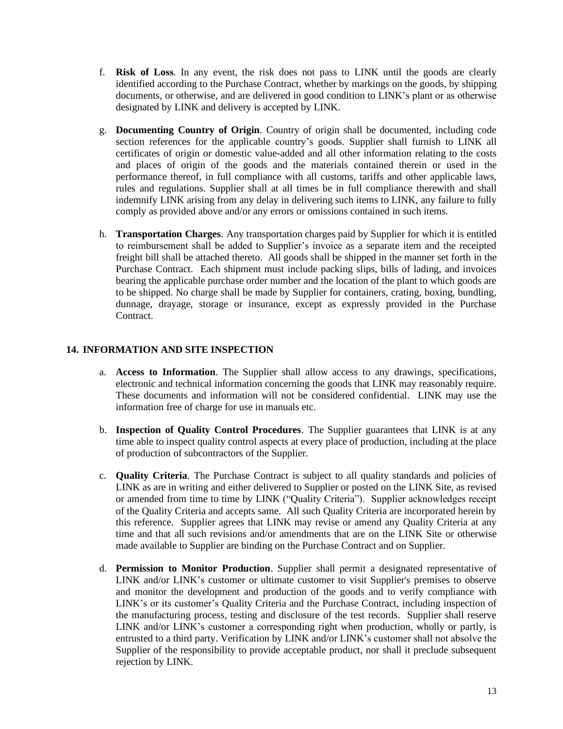- f. **Risk of Loss**. In any event, the risk does not pass to LINK until the goods are clearly identified according to the Purchase Contract, whether by markings on the goods, by shipping documents, or otherwise, and are delivered in good condition to LINK's plant or as otherwise designated by LINK and delivery is accepted by LINK.
- g. **Documenting Country of Origin**. Country of origin shall be documented, including code section references for the applicable country's goods. Supplier shall furnish to LINK all certificates of origin or domestic value-added and all other information relating to the costs and places of origin of the goods and the materials contained therein or used in the performance thereof, in full compliance with all customs, tariffs and other applicable laws, rules and regulations. Supplier shall at all times be in full compliance therewith and shall indemnify LINK arising from any delay in delivering such items to LINK, any failure to fully comply as provided above and/or any errors or omissions contained in such items.
- h. **Transportation Charges**. Any transportation charges paid by Supplier for which it is entitled to reimbursement shall be added to Supplier's invoice as a separate item and the receipted freight bill shall be attached thereto. All goods shall be shipped in the manner set forth in the Purchase Contract. Each shipment must include packing slips, bills of lading, and invoices bearing the applicable purchase order number and the location of the plant to which goods are to be shipped. No charge shall be made by Supplier for containers, crating, boxing, bundling, dunnage, drayage, storage or insurance, except as expressly provided in the Purchase Contract.

# **14. INFORMATION AND SITE INSPECTION**

- a. **Access to Information**. The Supplier shall allow access to any drawings, specifications, electronic and technical information concerning the goods that LINK may reasonably require. These documents and information will not be considered confidential. LINK may use the information free of charge for use in manuals etc.
- b. **Inspection of Quality Control Procedures**. The Supplier guarantees that LINK is at any time able to inspect quality control aspects at every place of production, including at the place of production of subcontractors of the Supplier.
- c. **Quality Criteria**. The Purchase Contract is subject to all quality standards and policies of LINK as are in writing and either delivered to Supplier or posted on the LINK Site, as revised or amended from time to time by LINK ("Quality Criteria"). Supplier acknowledges receipt of the Quality Criteria and accepts same. All such Quality Criteria are incorporated herein by this reference. Supplier agrees that LINK may revise or amend any Quality Criteria at any time and that all such revisions and/or amendments that are on the LINK Site or otherwise made available to Supplier are binding on the Purchase Contract and on Supplier.
- d. **Permission to Monitor Production**. Supplier shall permit a designated representative of LINK and/or LINK's customer or ultimate customer to visit Supplier's premises to observe and monitor the development and production of the goods and to verify compliance with LINK's or its customer's Quality Criteria and the Purchase Contract, including inspection of the manufacturing process, testing and disclosure of the test records. Supplier shall reserve LINK and/or LINK's customer a corresponding right when production, wholly or partly, is entrusted to a third party. Verification by LINK and/or LINK's customer shall not absolve the Supplier of the responsibility to provide acceptable product, nor shall it preclude subsequent rejection by LINK.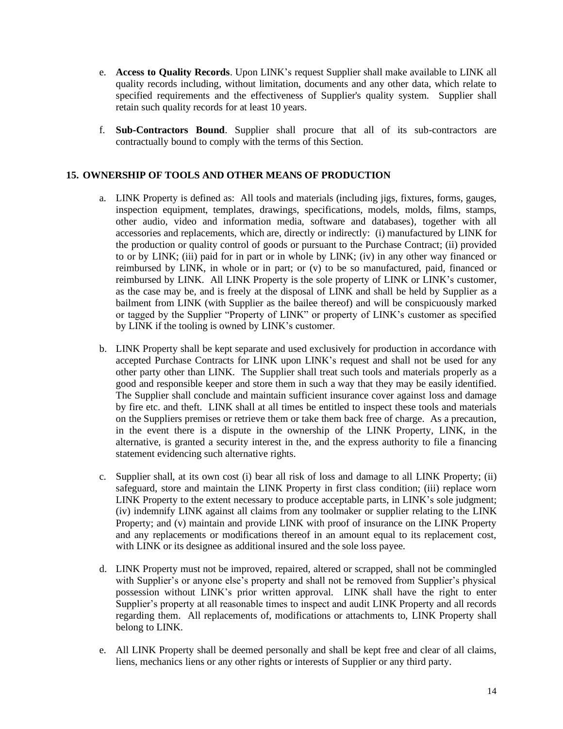- e. **Access to Quality Records**. Upon LINK's request Supplier shall make available to LINK all quality records including, without limitation, documents and any other data, which relate to specified requirements and the effectiveness of Supplier's quality system. Supplier shall retain such quality records for at least 10 years.
- f. **Sub-Contractors Bound**. Supplier shall procure that all of its sub-contractors are contractually bound to comply with the terms of this Section.

## **15. OWNERSHIP OF TOOLS AND OTHER MEANS OF PRODUCTION**

- a. LINK Property is defined as: All tools and materials (including jigs, fixtures, forms, gauges, inspection equipment, templates, drawings, specifications, models, molds, films, stamps, other audio, video and information media, software and databases), together with all accessories and replacements, which are, directly or indirectly: (i) manufactured by LINK for the production or quality control of goods or pursuant to the Purchase Contract; (ii) provided to or by LINK; (iii) paid for in part or in whole by LINK; (iv) in any other way financed or reimbursed by LINK, in whole or in part; or (v) to be so manufactured, paid, financed or reimbursed by LINK. All LINK Property is the sole property of LINK or LINK's customer, as the case may be, and is freely at the disposal of LINK and shall be held by Supplier as a bailment from LINK (with Supplier as the bailee thereof) and will be conspicuously marked or tagged by the Supplier "Property of LINK" or property of LINK's customer as specified by LINK if the tooling is owned by LINK's customer.
- b. LINK Property shall be kept separate and used exclusively for production in accordance with accepted Purchase Contracts for LINK upon LINK's request and shall not be used for any other party other than LINK. The Supplier shall treat such tools and materials properly as a good and responsible keeper and store them in such a way that they may be easily identified. The Supplier shall conclude and maintain sufficient insurance cover against loss and damage by fire etc. and theft. LINK shall at all times be entitled to inspect these tools and materials on the Suppliers premises or retrieve them or take them back free of charge. As a precaution, in the event there is a dispute in the ownership of the LINK Property, LINK, in the alternative, is granted a security interest in the, and the express authority to file a financing statement evidencing such alternative rights.
- c. Supplier shall, at its own cost (i) bear all risk of loss and damage to all LINK Property; (ii) safeguard, store and maintain the LINK Property in first class condition; (iii) replace worn LINK Property to the extent necessary to produce acceptable parts, in LINK's sole judgment; (iv) indemnify LINK against all claims from any toolmaker or supplier relating to the LINK Property; and (v) maintain and provide LINK with proof of insurance on the LINK Property and any replacements or modifications thereof in an amount equal to its replacement cost, with LINK or its designee as additional insured and the sole loss payee.
- d. LINK Property must not be improved, repaired, altered or scrapped, shall not be commingled with Supplier's or anyone else's property and shall not be removed from Supplier's physical possession without LINK's prior written approval. LINK shall have the right to enter Supplier's property at all reasonable times to inspect and audit LINK Property and all records regarding them. All replacements of, modifications or attachments to, LINK Property shall belong to LINK.
- e. All LINK Property shall be deemed personally and shall be kept free and clear of all claims, liens, mechanics liens or any other rights or interests of Supplier or any third party.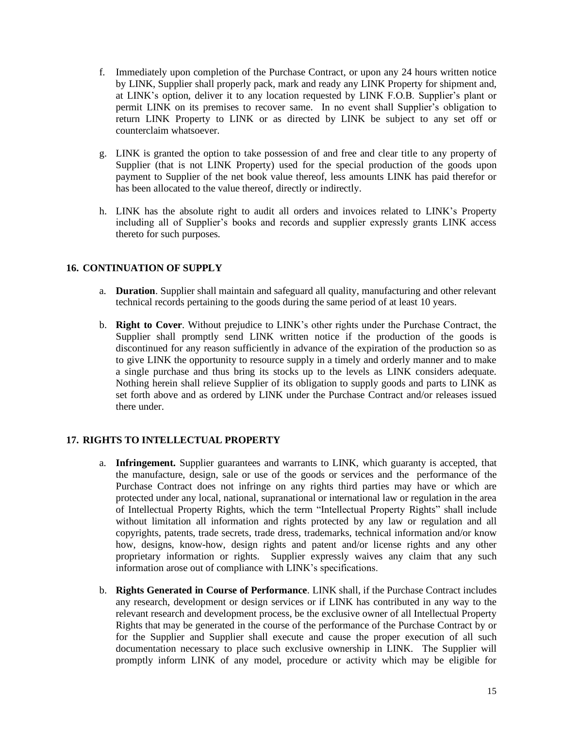- f. Immediately upon completion of the Purchase Contract, or upon any 24 hours written notice by LINK, Supplier shall properly pack, mark and ready any LINK Property for shipment and, at LINK's option, deliver it to any location requested by LINK F.O.B. Supplier's plant or permit LINK on its premises to recover same. In no event shall Supplier's obligation to return LINK Property to LINK or as directed by LINK be subject to any set off or counterclaim whatsoever.
- g. LINK is granted the option to take possession of and free and clear title to any property of Supplier (that is not LINK Property) used for the special production of the goods upon payment to Supplier of the net book value thereof, less amounts LINK has paid therefor or has been allocated to the value thereof, directly or indirectly.
- h. LINK has the absolute right to audit all orders and invoices related to LINK's Property including all of Supplier's books and records and supplier expressly grants LINK access thereto for such purposes.

# **16. CONTINUATION OF SUPPLY**

- a. **Duration**. Supplier shall maintain and safeguard all quality, manufacturing and other relevant technical records pertaining to the goods during the same period of at least 10 years.
- b. **Right to Cover**. Without prejudice to LINK's other rights under the Purchase Contract, the Supplier shall promptly send LINK written notice if the production of the goods is discontinued for any reason sufficiently in advance of the expiration of the production so as to give LINK the opportunity to resource supply in a timely and orderly manner and to make a single purchase and thus bring its stocks up to the levels as LINK considers adequate. Nothing herein shall relieve Supplier of its obligation to supply goods and parts to LINK as set forth above and as ordered by LINK under the Purchase Contract and/or releases issued there under.

### **17. RIGHTS TO INTELLECTUAL PROPERTY**

- a. **Infringement.** Supplier guarantees and warrants to LINK, which guaranty is accepted, that the manufacture, design, sale or use of the goods or services and the performance of the Purchase Contract does not infringe on any rights third parties may have or which are protected under any local, national, supranational or international law or regulation in the area of Intellectual Property Rights, which the term "Intellectual Property Rights" shall include without limitation all information and rights protected by any law or regulation and all copyrights, patents, trade secrets, trade dress, trademarks, technical information and/or know how, designs, know-how, design rights and patent and/or license rights and any other proprietary information or rights. Supplier expressly waives any claim that any such information arose out of compliance with LINK's specifications.
- b. **Rights Generated in Course of Performance**. LINK shall, if the Purchase Contract includes any research, development or design services or if LINK has contributed in any way to the relevant research and development process, be the exclusive owner of all Intellectual Property Rights that may be generated in the course of the performance of the Purchase Contract by or for the Supplier and Supplier shall execute and cause the proper execution of all such documentation necessary to place such exclusive ownership in LINK. The Supplier will promptly inform LINK of any model, procedure or activity which may be eligible for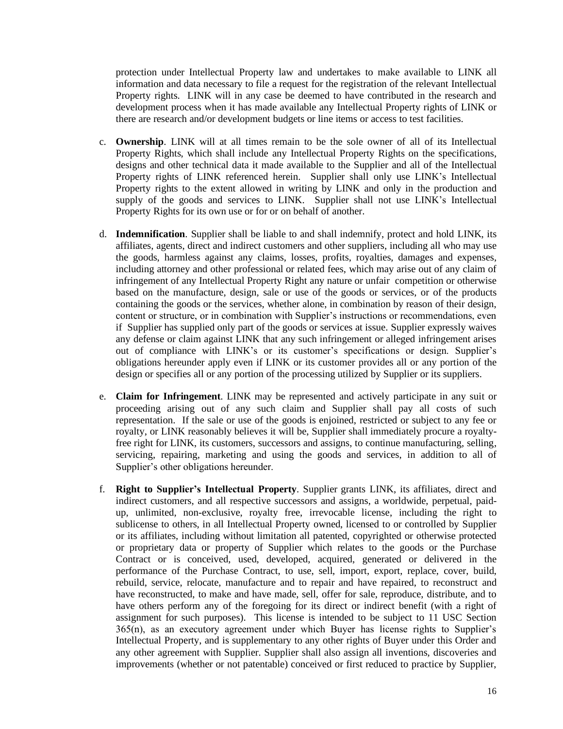protection under Intellectual Property law and undertakes to make available to LINK all information and data necessary to file a request for the registration of the relevant Intellectual Property rights. LINK will in any case be deemed to have contributed in the research and development process when it has made available any Intellectual Property rights of LINK or there are research and/or development budgets or line items or access to test facilities.

- c. **Ownership**. LINK will at all times remain to be the sole owner of all of its Intellectual Property Rights, which shall include any Intellectual Property Rights on the specifications, designs and other technical data it made available to the Supplier and all of the Intellectual Property rights of LINK referenced herein. Supplier shall only use LINK's Intellectual Property rights to the extent allowed in writing by LINK and only in the production and supply of the goods and services to LINK. Supplier shall not use LINK's Intellectual Property Rights for its own use or for or on behalf of another.
- d. **Indemnification**. Supplier shall be liable to and shall indemnify, protect and hold LINK, its affiliates, agents, direct and indirect customers and other suppliers, including all who may use the goods, harmless against any claims, losses, profits, royalties, damages and expenses, including attorney and other professional or related fees, which may arise out of any claim of infringement of any Intellectual Property Right any nature or unfair competition or otherwise based on the manufacture, design, sale or use of the goods or services, or of the products containing the goods or the services, whether alone, in combination by reason of their design, content or structure, or in combination with Supplier's instructions or recommendations, even if Supplier has supplied only part of the goods or services at issue. Supplier expressly waives any defense or claim against LINK that any such infringement or alleged infringement arises out of compliance with LINK's or its customer's specifications or design. Supplier's obligations hereunder apply even if LINK or its customer provides all or any portion of the design or specifies all or any portion of the processing utilized by Supplier or its suppliers.
- e. **Claim for Infringement**. LINK may be represented and actively participate in any suit or proceeding arising out of any such claim and Supplier shall pay all costs of such representation. If the sale or use of the goods is enjoined, restricted or subject to any fee or royalty, or LINK reasonably believes it will be, Supplier shall immediately procure a royaltyfree right for LINK, its customers, successors and assigns, to continue manufacturing, selling, servicing, repairing, marketing and using the goods and services, in addition to all of Supplier's other obligations hereunder.
- f. **Right to Supplier's Intellectual Property**. Supplier grants LINK, its affiliates, direct and indirect customers, and all respective successors and assigns, a worldwide, perpetual, paidup, unlimited, non-exclusive, royalty free, irrevocable license, including the right to sublicense to others, in all Intellectual Property owned, licensed to or controlled by Supplier or its affiliates, including without limitation all patented, copyrighted or otherwise protected or proprietary data or property of Supplier which relates to the goods or the Purchase Contract or is conceived, used, developed, acquired, generated or delivered in the performance of the Purchase Contract, to use, sell, import, export, replace, cover, build, rebuild, service, relocate, manufacture and to repair and have repaired, to reconstruct and have reconstructed, to make and have made, sell, offer for sale, reproduce, distribute, and to have others perform any of the foregoing for its direct or indirect benefit (with a right of assignment for such purposes). This license is intended to be subject to 11 USC Section 365(n), as an executory agreement under which Buyer has license rights to Supplier's Intellectual Property, and is supplementary to any other rights of Buyer under this Order and any other agreement with Supplier. Supplier shall also assign all inventions, discoveries and improvements (whether or not patentable) conceived or first reduced to practice by Supplier,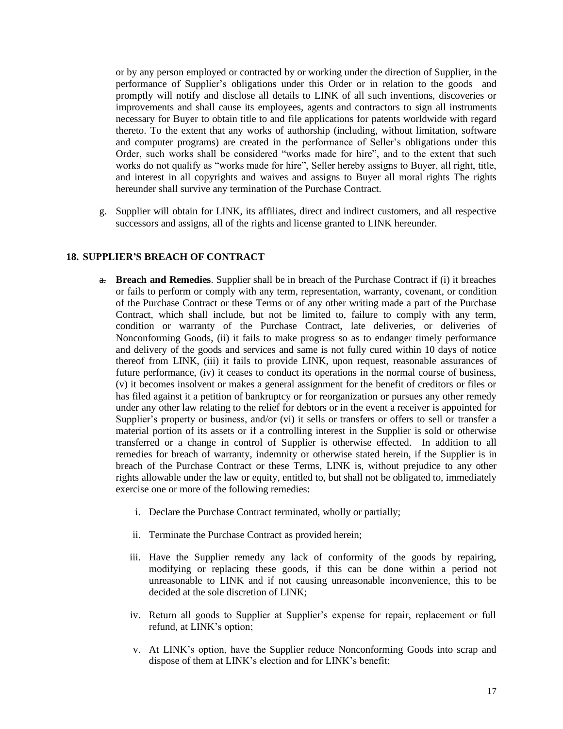or by any person employed or contracted by or working under the direction of Supplier, in the performance of Supplier's obligations under this Order or in relation to the goods and promptly will notify and disclose all details to LINK of all such inventions, discoveries or improvements and shall cause its employees, agents and contractors to sign all instruments necessary for Buyer to obtain title to and file applications for patents worldwide with regard thereto. To the extent that any works of authorship (including, without limitation, software and computer programs) are created in the performance of Seller's obligations under this Order, such works shall be considered "works made for hire", and to the extent that such works do not qualify as "works made for hire", Seller hereby assigns to Buyer, all right, title, and interest in all copyrights and waives and assigns to Buyer all moral rights The rights hereunder shall survive any termination of the Purchase Contract.

g. Supplier will obtain for LINK, its affiliates, direct and indirect customers, and all respective successors and assigns, all of the rights and license granted to LINK hereunder.

### **18. SUPPLIER'S BREACH OF CONTRACT**

- a. **Breach and Remedies**. Supplier shall be in breach of the Purchase Contract if (i) it breaches or fails to perform or comply with any term, representation, warranty, covenant, or condition of the Purchase Contract or these Terms or of any other writing made a part of the Purchase Contract, which shall include, but not be limited to, failure to comply with any term, condition or warranty of the Purchase Contract, late deliveries, or deliveries of Nonconforming Goods, (ii) it fails to make progress so as to endanger timely performance and delivery of the goods and services and same is not fully cured within 10 days of notice thereof from LINK, (iii) it fails to provide LINK, upon request, reasonable assurances of future performance, (iv) it ceases to conduct its operations in the normal course of business, (v) it becomes insolvent or makes a general assignment for the benefit of creditors or files or has filed against it a petition of bankruptcy or for reorganization or pursues any other remedy under any other law relating to the relief for debtors or in the event a receiver is appointed for Supplier's property or business, and/or (vi) it sells or transfers or offers to sell or transfer a material portion of its assets or if a controlling interest in the Supplier is sold or otherwise transferred or a change in control of Supplier is otherwise effected. In addition to all remedies for breach of warranty, indemnity or otherwise stated herein, if the Supplier is in breach of the Purchase Contract or these Terms, LINK is, without prejudice to any other rights allowable under the law or equity, entitled to, but shall not be obligated to, immediately exercise one or more of the following remedies:
	- i. Declare the Purchase Contract terminated, wholly or partially;
	- ii. Terminate the Purchase Contract as provided herein;
	- iii. Have the Supplier remedy any lack of conformity of the goods by repairing, modifying or replacing these goods, if this can be done within a period not unreasonable to LINK and if not causing unreasonable inconvenience, this to be decided at the sole discretion of LINK;
	- iv. Return all goods to Supplier at Supplier's expense for repair, replacement or full refund, at LINK's option;
	- v. At LINK's option, have the Supplier reduce Nonconforming Goods into scrap and dispose of them at LINK's election and for LINK's benefit;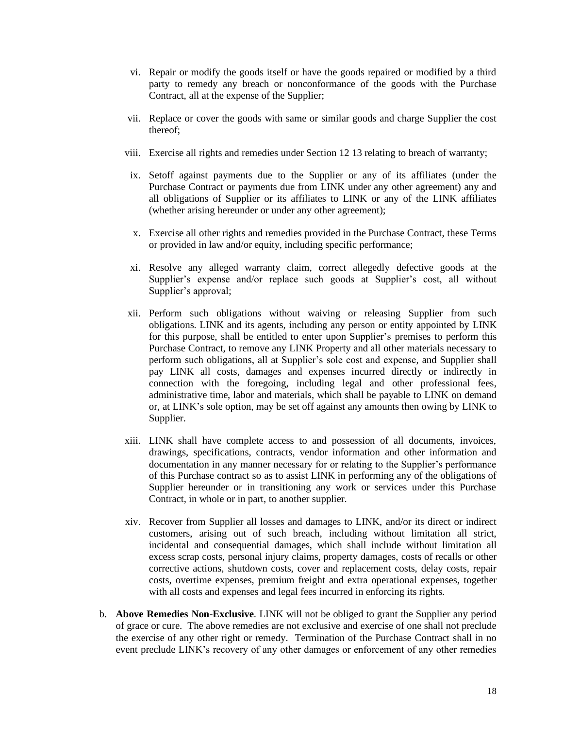- vi. Repair or modify the goods itself or have the goods repaired or modified by a third party to remedy any breach or nonconformance of the goods with the Purchase Contract, all at the expense of the Supplier;
- vii. Replace or cover the goods with same or similar goods and charge Supplier the cost thereof;
- viii. Exercise all rights and remedies under Section 12 13 relating to breach of warranty;
- ix. Setoff against payments due to the Supplier or any of its affiliates (under the Purchase Contract or payments due from LINK under any other agreement) any and all obligations of Supplier or its affiliates to LINK or any of the LINK affiliates (whether arising hereunder or under any other agreement);
- x. Exercise all other rights and remedies provided in the Purchase Contract, these Terms or provided in law and/or equity, including specific performance;
- xi. Resolve any alleged warranty claim, correct allegedly defective goods at the Supplier's expense and/or replace such goods at Supplier's cost, all without Supplier's approval;
- xii. Perform such obligations without waiving or releasing Supplier from such obligations. LINK and its agents, including any person or entity appointed by LINK for this purpose, shall be entitled to enter upon Supplier's premises to perform this Purchase Contract, to remove any LINK Property and all other materials necessary to perform such obligations, all at Supplier's sole cost and expense, and Supplier shall pay LINK all costs, damages and expenses incurred directly or indirectly in connection with the foregoing, including legal and other professional fees, administrative time, labor and materials, which shall be payable to LINK on demand or, at LINK's sole option, may be set off against any amounts then owing by LINK to Supplier.
- xiii. LINK shall have complete access to and possession of all documents, invoices, drawings, specifications, contracts, vendor information and other information and documentation in any manner necessary for or relating to the Supplier's performance of this Purchase contract so as to assist LINK in performing any of the obligations of Supplier hereunder or in transitioning any work or services under this Purchase Contract, in whole or in part, to another supplier.
- xiv. Recover from Supplier all losses and damages to LINK, and/or its direct or indirect customers, arising out of such breach, including without limitation all strict, incidental and consequential damages, which shall include without limitation all excess scrap costs, personal injury claims, property damages, costs of recalls or other corrective actions, shutdown costs, cover and replacement costs, delay costs, repair costs, overtime expenses, premium freight and extra operational expenses, together with all costs and expenses and legal fees incurred in enforcing its rights.
- b. **Above Remedies Non-Exclusive**. LINK will not be obliged to grant the Supplier any period of grace or cure. The above remedies are not exclusive and exercise of one shall not preclude the exercise of any other right or remedy. Termination of the Purchase Contract shall in no event preclude LINK's recovery of any other damages or enforcement of any other remedies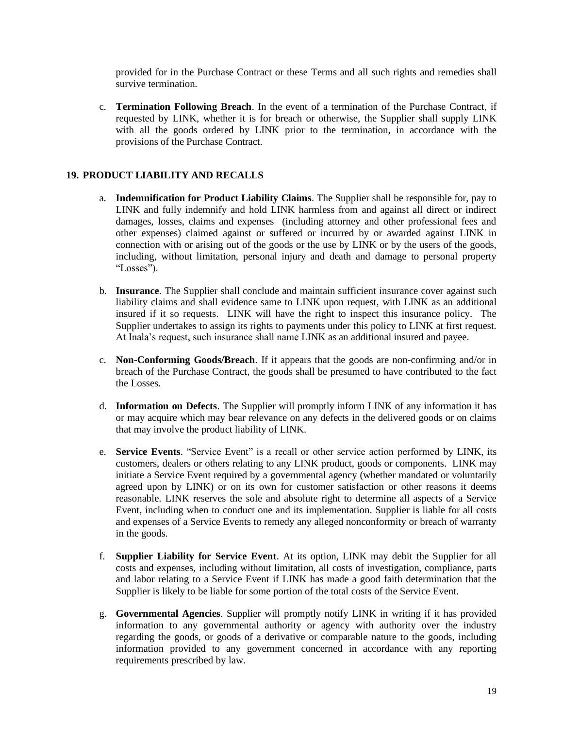provided for in the Purchase Contract or these Terms and all such rights and remedies shall survive termination.

c. **Termination Following Breach**. In the event of a termination of the Purchase Contract, if requested by LINK, whether it is for breach or otherwise, the Supplier shall supply LINK with all the goods ordered by LINK prior to the termination, in accordance with the provisions of the Purchase Contract.

## **19. PRODUCT LIABILITY AND RECALLS**

- a. **Indemnification for Product Liability Claims**. The Supplier shall be responsible for, pay to LINK and fully indemnify and hold LINK harmless from and against all direct or indirect damages, losses, claims and expenses (including attorney and other professional fees and other expenses) claimed against or suffered or incurred by or awarded against LINK in connection with or arising out of the goods or the use by LINK or by the users of the goods, including, without limitation, personal injury and death and damage to personal property "Losses").
- b. **Insurance**. The Supplier shall conclude and maintain sufficient insurance cover against such liability claims and shall evidence same to LINK upon request, with LINK as an additional insured if it so requests. LINK will have the right to inspect this insurance policy. The Supplier undertakes to assign its rights to payments under this policy to LINK at first request. At Inala's request, such insurance shall name LINK as an additional insured and payee.
- c. **Non-Conforming Goods/Breach**. If it appears that the goods are non-confirming and/or in breach of the Purchase Contract, the goods shall be presumed to have contributed to the fact the Losses.
- d. **Information on Defects**. The Supplier will promptly inform LINK of any information it has or may acquire which may bear relevance on any defects in the delivered goods or on claims that may involve the product liability of LINK.
- e. **Service Events**. "Service Event" is a recall or other service action performed by LINK, its customers, dealers or others relating to any LINK product, goods or components. LINK may initiate a Service Event required by a governmental agency (whether mandated or voluntarily agreed upon by LINK) or on its own for customer satisfaction or other reasons it deems reasonable. LINK reserves the sole and absolute right to determine all aspects of a Service Event, including when to conduct one and its implementation. Supplier is liable for all costs and expenses of a Service Events to remedy any alleged nonconformity or breach of warranty in the goods.
- f. **Supplier Liability for Service Event**. At its option, LINK may debit the Supplier for all costs and expenses, including without limitation, all costs of investigation, compliance, parts and labor relating to a Service Event if LINK has made a good faith determination that the Supplier is likely to be liable for some portion of the total costs of the Service Event.
- g. **Governmental Agencies**. Supplier will promptly notify LINK in writing if it has provided information to any governmental authority or agency with authority over the industry regarding the goods, or goods of a derivative or comparable nature to the goods, including information provided to any government concerned in accordance with any reporting requirements prescribed by law.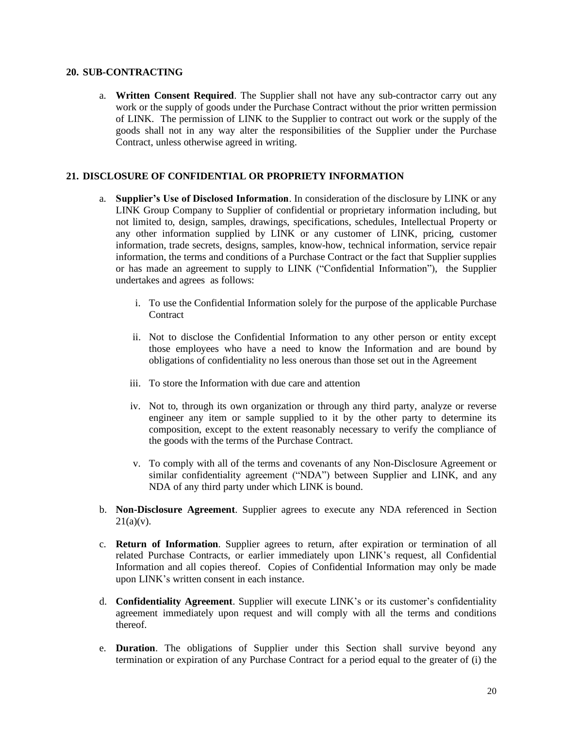#### **20. SUB-CONTRACTING**

a. **Written Consent Required**. The Supplier shall not have any sub-contractor carry out any work or the supply of goods under the Purchase Contract without the prior written permission of LINK. The permission of LINK to the Supplier to contract out work or the supply of the goods shall not in any way alter the responsibilities of the Supplier under the Purchase Contract, unless otherwise agreed in writing.

#### **21. DISCLOSURE OF CONFIDENTIAL OR PROPRIETY INFORMATION**

- a. **Supplier's Use of Disclosed Information**. In consideration of the disclosure by LINK or any LINK Group Company to Supplier of confidential or proprietary information including, but not limited to, design, samples, drawings, specifications, schedules, Intellectual Property or any other information supplied by LINK or any customer of LINK, pricing, customer information, trade secrets, designs, samples, know-how, technical information, service repair information, the terms and conditions of a Purchase Contract or the fact that Supplier supplies or has made an agreement to supply to LINK ("Confidential Information"), the Supplier undertakes and agrees as follows:
	- i. To use the Confidential Information solely for the purpose of the applicable Purchase **Contract**
	- ii. Not to disclose the Confidential Information to any other person or entity except those employees who have a need to know the Information and are bound by obligations of confidentiality no less onerous than those set out in the Agreement
	- iii. To store the Information with due care and attention
	- iv. Not to, through its own organization or through any third party, analyze or reverse engineer any item or sample supplied to it by the other party to determine its composition, except to the extent reasonably necessary to verify the compliance of the goods with the terms of the Purchase Contract.
	- v. To comply with all of the terms and covenants of any Non-Disclosure Agreement or similar confidentiality agreement ("NDA") between Supplier and LINK, and any NDA of any third party under which LINK is bound.
- b. **Non-Disclosure Agreement**. Supplier agrees to execute any NDA referenced in Section  $21(a)(v)$ .
- c. **Return of Information**. Supplier agrees to return, after expiration or termination of all related Purchase Contracts, or earlier immediately upon LINK's request, all Confidential Information and all copies thereof. Copies of Confidential Information may only be made upon LINK's written consent in each instance.
- d. **Confidentiality Agreement**. Supplier will execute LINK's or its customer's confidentiality agreement immediately upon request and will comply with all the terms and conditions thereof.
- e. **Duration**. The obligations of Supplier under this Section shall survive beyond any termination or expiration of any Purchase Contract for a period equal to the greater of (i) the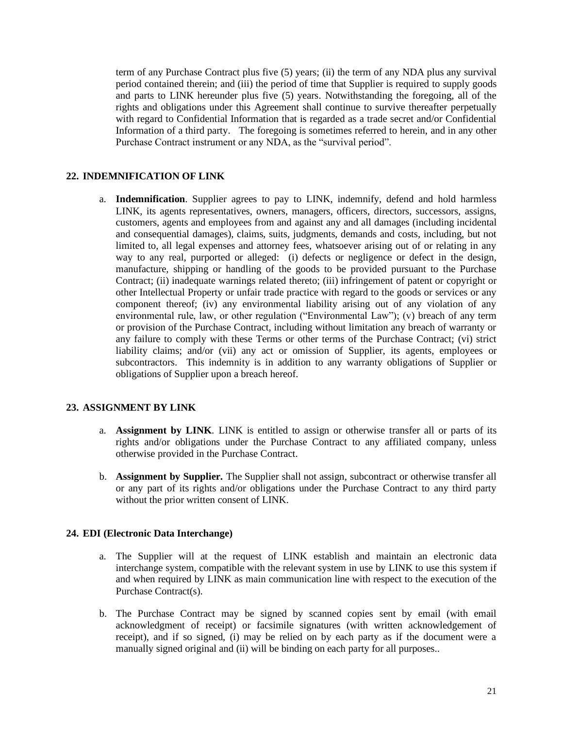term of any Purchase Contract plus five (5) years; (ii) the term of any NDA plus any survival period contained therein; and (iii) the period of time that Supplier is required to supply goods and parts to LINK hereunder plus five (5) years. Notwithstanding the foregoing, all of the rights and obligations under this Agreement shall continue to survive thereafter perpetually with regard to Confidential Information that is regarded as a trade secret and/or Confidential Information of a third party. The foregoing is sometimes referred to herein, and in any other Purchase Contract instrument or any NDA, as the "survival period".

### **22. INDEMNIFICATION OF LINK**

a. **Indemnification**. Supplier agrees to pay to LINK, indemnify, defend and hold harmless LINK, its agents representatives, owners, managers, officers, directors, successors, assigns, customers, agents and employees from and against any and all damages (including incidental and consequential damages), claims, suits, judgments, demands and costs, including, but not limited to, all legal expenses and attorney fees, whatsoever arising out of or relating in any way to any real, purported or alleged: (i) defects or negligence or defect in the design, manufacture, shipping or handling of the goods to be provided pursuant to the Purchase Contract; (ii) inadequate warnings related thereto; (iii) infringement of patent or copyright or other Intellectual Property or unfair trade practice with regard to the goods or services or any component thereof; (iv) any environmental liability arising out of any violation of any environmental rule, law, or other regulation ("Environmental Law"); (v) breach of any term or provision of the Purchase Contract, including without limitation any breach of warranty or any failure to comply with these Terms or other terms of the Purchase Contract; (vi) strict liability claims; and/or (vii) any act or omission of Supplier, its agents, employees or subcontractors. This indemnity is in addition to any warranty obligations of Supplier or obligations of Supplier upon a breach hereof.

### **23. ASSIGNMENT BY LINK**

- a. **Assignment by LINK**. LINK is entitled to assign or otherwise transfer all or parts of its rights and/or obligations under the Purchase Contract to any affiliated company, unless otherwise provided in the Purchase Contract.
- b. **Assignment by Supplier.** The Supplier shall not assign, subcontract or otherwise transfer all or any part of its rights and/or obligations under the Purchase Contract to any third party without the prior written consent of LINK.

### **24. EDI (Electronic Data Interchange)**

- a. The Supplier will at the request of LINK establish and maintain an electronic data interchange system, compatible with the relevant system in use by LINK to use this system if and when required by LINK as main communication line with respect to the execution of the Purchase Contract(s).
- b. The Purchase Contract may be signed by scanned copies sent by email (with email acknowledgment of receipt) or facsimile signatures (with written acknowledgement of receipt), and if so signed, (i) may be relied on by each party as if the document were a manually signed original and (ii) will be binding on each party for all purposes..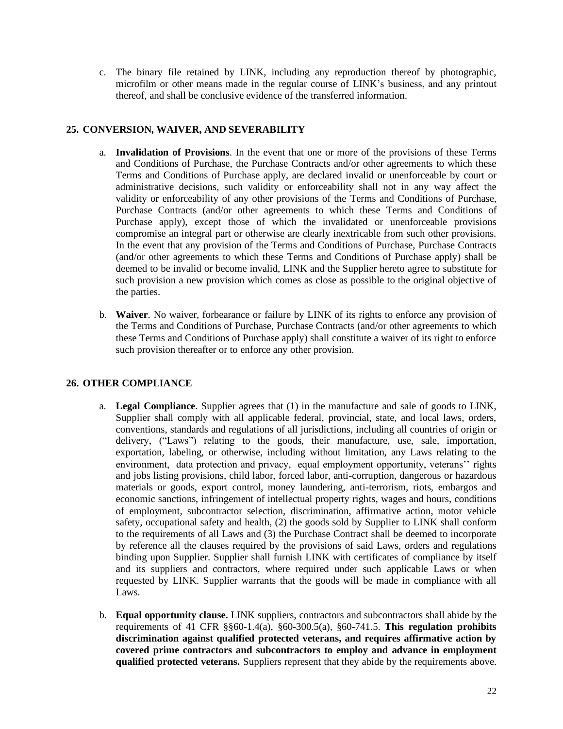c. The binary file retained by LINK, including any reproduction thereof by photographic, microfilm or other means made in the regular course of LINK's business, and any printout thereof, and shall be conclusive evidence of the transferred information.

# **25. CONVERSION, WAIVER, AND SEVERABILITY**

- a. **Invalidation of Provisions**. In the event that one or more of the provisions of these Terms and Conditions of Purchase, the Purchase Contracts and/or other agreements to which these Terms and Conditions of Purchase apply, are declared invalid or unenforceable by court or administrative decisions, such validity or enforceability shall not in any way affect the validity or enforceability of any other provisions of the Terms and Conditions of Purchase, Purchase Contracts (and/or other agreements to which these Terms and Conditions of Purchase apply), except those of which the invalidated or unenforceable provisions compromise an integral part or otherwise are clearly inextricable from such other provisions. In the event that any provision of the Terms and Conditions of Purchase, Purchase Contracts (and/or other agreements to which these Terms and Conditions of Purchase apply) shall be deemed to be invalid or become invalid, LINK and the Supplier hereto agree to substitute for such provision a new provision which comes as close as possible to the original objective of the parties.
- b. **Waiver**. No waiver, forbearance or failure by LINK of its rights to enforce any provision of the Terms and Conditions of Purchase, Purchase Contracts (and/or other agreements to which these Terms and Conditions of Purchase apply) shall constitute a waiver of its right to enforce such provision thereafter or to enforce any other provision.

# **26. OTHER COMPLIANCE**

- a. **Legal Compliance**. Supplier agrees that (1) in the manufacture and sale of goods to LINK, Supplier shall comply with all applicable federal, provincial, state, and local laws, orders, conventions, standards and regulations of all jurisdictions, including all countries of origin or delivery, ("Laws") relating to the goods, their manufacture, use, sale, importation, exportation, labeling, or otherwise, including without limitation, any Laws relating to the environment, data protection and privacy, equal employment opportunity, veterans'' rights and jobs listing provisions, child labor, forced labor, anti-corruption, dangerous or hazardous materials or goods, export control, money laundering, anti-terrorism, riots, embargos and economic sanctions, infringement of intellectual property rights, wages and hours, conditions of employment, subcontractor selection, discrimination, affirmative action, motor vehicle safety, occupational safety and health, (2) the goods sold by Supplier to LINK shall conform to the requirements of all Laws and (3) the Purchase Contract shall be deemed to incorporate by reference all the clauses required by the provisions of said Laws, orders and regulations binding upon Supplier. Supplier shall furnish LINK with certificates of compliance by itself and its suppliers and contractors, where required under such applicable Laws or when requested by LINK. Supplier warrants that the goods will be made in compliance with all Laws.
- b. **Equal opportunity clause.** LINK suppliers, contractors and subcontractors shall abide by the requirements of 41 CFR §§60-1.4(a), §60-300.5(a), §60-741.5. **This regulation prohibits discrimination against qualified protected veterans, and requires affirmative action by covered prime contractors and subcontractors to employ and advance in employment qualified protected veterans.** Suppliers represent that they abide by the requirements above.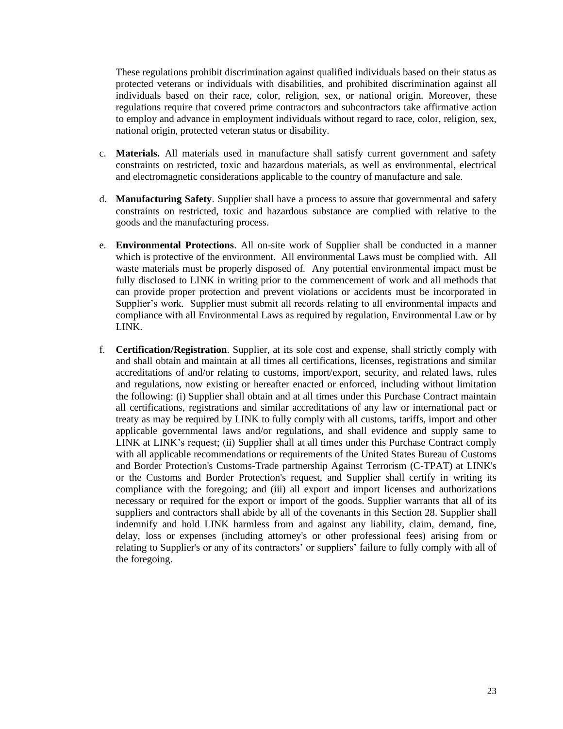These regulations prohibit discrimination against qualified individuals based on their status as protected veterans or individuals with disabilities, and prohibited discrimination against all individuals based on their race, color, religion, sex, or national origin. Moreover, these regulations require that covered prime contractors and subcontractors take affirmative action to employ and advance in employment individuals without regard to race, color, religion, sex, national origin, protected veteran status or disability.

- c. **Materials.** All materials used in manufacture shall satisfy current government and safety constraints on restricted, toxic and hazardous materials, as well as environmental, electrical and electromagnetic considerations applicable to the country of manufacture and sale.
- d. **Manufacturing Safety**. Supplier shall have a process to assure that governmental and safety constraints on restricted, toxic and hazardous substance are complied with relative to the goods and the manufacturing process.
- e. **Environmental Protections**. All on-site work of Supplier shall be conducted in a manner which is protective of the environment. All environmental Laws must be complied with. All waste materials must be properly disposed of. Any potential environmental impact must be fully disclosed to LINK in writing prior to the commencement of work and all methods that can provide proper protection and prevent violations or accidents must be incorporated in Supplier's work. Supplier must submit all records relating to all environmental impacts and compliance with all Environmental Laws as required by regulation, Environmental Law or by LINK.
- f. **Certification/Registration**. Supplier, at its sole cost and expense, shall strictly comply with and shall obtain and maintain at all times all certifications, licenses, registrations and similar accreditations of and/or relating to customs, import/export, security, and related laws, rules and regulations, now existing or hereafter enacted or enforced, including without limitation the following: (i) Supplier shall obtain and at all times under this Purchase Contract maintain all certifications, registrations and similar accreditations of any law or international pact or treaty as may be required by LINK to fully comply with all customs, tariffs, import and other applicable governmental laws and/or regulations, and shall evidence and supply same to LINK at LINK's request; (ii) Supplier shall at all times under this Purchase Contract comply with all applicable recommendations or requirements of the United States Bureau of Customs and Border Protection's Customs-Trade partnership Against Terrorism (C-TPAT) at LINK's or the Customs and Border Protection's request, and Supplier shall certify in writing its compliance with the foregoing; and (iii) all export and import licenses and authorizations necessary or required for the export or import of the goods. Supplier warrants that all of its suppliers and contractors shall abide by all of the covenants in this Section 28. Supplier shall indemnify and hold LINK harmless from and against any liability, claim, demand, fine, delay, loss or expenses (including attorney's or other professional fees) arising from or relating to Supplier's or any of its contractors' or suppliers' failure to fully comply with all of the foregoing.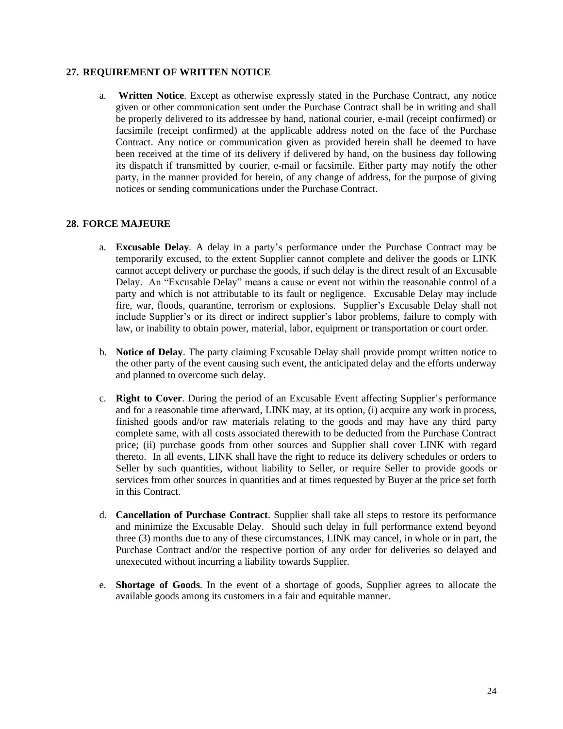#### **27. REQUIREMENT OF WRITTEN NOTICE**

a. **Written Notice**. Except as otherwise expressly stated in the Purchase Contract, any notice given or other communication sent under the Purchase Contract shall be in writing and shall be properly delivered to its addressee by hand, national courier, e-mail (receipt confirmed) or facsimile (receipt confirmed) at the applicable address noted on the face of the Purchase Contract. Any notice or communication given as provided herein shall be deemed to have been received at the time of its delivery if delivered by hand, on the business day following its dispatch if transmitted by courier, e-mail or facsimile. Either party may notify the other party, in the manner provided for herein, of any change of address, for the purpose of giving notices or sending communications under the Purchase Contract.

#### **28. FORCE MAJEURE**

- a. **Excusable Delay**. A delay in a party's performance under the Purchase Contract may be temporarily excused, to the extent Supplier cannot complete and deliver the goods or LINK cannot accept delivery or purchase the goods, if such delay is the direct result of an Excusable Delay. An "Excusable Delay" means a cause or event not within the reasonable control of a party and which is not attributable to its fault or negligence. Excusable Delay may include fire, war, floods, quarantine, terrorism or explosions. Supplier's Excusable Delay shall not include Supplier's or its direct or indirect supplier's labor problems, failure to comply with law, or inability to obtain power, material, labor, equipment or transportation or court order.
- b. **Notice of Delay**. The party claiming Excusable Delay shall provide prompt written notice to the other party of the event causing such event, the anticipated delay and the efforts underway and planned to overcome such delay.
- c. **Right to Cover**. During the period of an Excusable Event affecting Supplier's performance and for a reasonable time afterward, LINK may, at its option, (i) acquire any work in process, finished goods and/or raw materials relating to the goods and may have any third party complete same, with all costs associated therewith to be deducted from the Purchase Contract price; (ii) purchase goods from other sources and Supplier shall cover LINK with regard thereto. In all events, LINK shall have the right to reduce its delivery schedules or orders to Seller by such quantities, without liability to Seller, or require Seller to provide goods or services from other sources in quantities and at times requested by Buyer at the price set forth in this Contract.
- d. **Cancellation of Purchase Contract**. Supplier shall take all steps to restore its performance and minimize the Excusable Delay. Should such delay in full performance extend beyond three (3) months due to any of these circumstances, LINK may cancel, in whole or in part, the Purchase Contract and/or the respective portion of any order for deliveries so delayed and unexecuted without incurring a liability towards Supplier.
- e. **Shortage of Goods**. In the event of a shortage of goods, Supplier agrees to allocate the available goods among its customers in a fair and equitable manner.